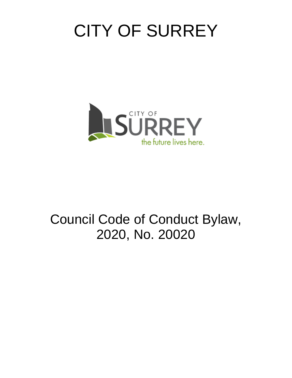# CITY OF SURREY



# Council Code of Conduct Bylaw, 2020, No. 20020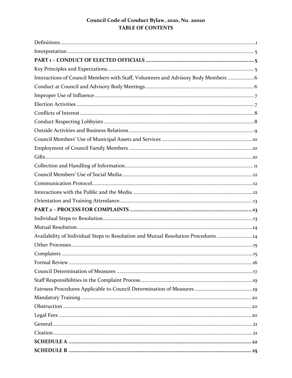# Council Code of Conduct Bylaw, 2020, No. 20020 **TABLE OF CONTENTS**

| Interactions of Council Members with Staff, Volunteers and Advisory Body Members  6 |
|-------------------------------------------------------------------------------------|
|                                                                                     |
|                                                                                     |
|                                                                                     |
|                                                                                     |
|                                                                                     |
|                                                                                     |
|                                                                                     |
|                                                                                     |
|                                                                                     |
|                                                                                     |
|                                                                                     |
|                                                                                     |
|                                                                                     |
|                                                                                     |
|                                                                                     |
|                                                                                     |
|                                                                                     |
| Availability of Individual Steps to Resolution and Mutual Resolution Procedures 14  |
|                                                                                     |
|                                                                                     |
|                                                                                     |
|                                                                                     |
|                                                                                     |
|                                                                                     |
|                                                                                     |
|                                                                                     |
|                                                                                     |
|                                                                                     |
|                                                                                     |
|                                                                                     |
|                                                                                     |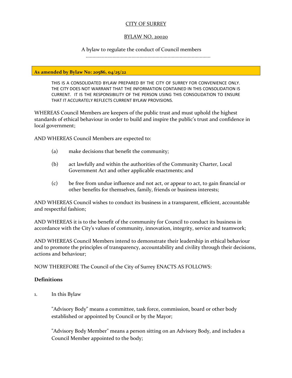#### CITY OF SURREY

#### BYLAW NO. 20020

A bylaw to regulate the conduct of Council members

.............................................................................................

**As amended by Bylaw No: 20586, 04/25/22**

THIS IS A CONSOLIDATED BYLAW PREPARED BY THE CITY OF SURREY FOR CONVENIENCE ONLY. THE CITY DOES NOT WARRANT THAT THE INFORMATION CONTAINED IN THIS CONSOLIDATION IS CURRENT. IT IS THE RESPONSIBILITY OF THE PERSON USING THIS CONSOLIDATION TO ENSURE THAT IT ACCURATELY REFLECTS CURRENT BYLAW PROVISIONS.

WHEREAS Council Members are keepers of the public trust and must uphold the highest standards of ethical behaviour in order to build and inspire the public's trust and confidence in local government;

AND WHEREAS Council Members are expected to:

- (a) make decisions that benefit the community;
- (b) act lawfully and within the authorities of the Community Charter, Local Government Act and other applicable enactments; and
- (c) be free from undue influence and not act, or appear to act, to gain financial or other benefits for themselves, family, friends or business interests;

AND WHEREAS Council wishes to conduct its business in a transparent, efficient, accountable and respectful fashion;

AND WHEREAS it is to the benefit of the community for Council to conduct its business in accordance with the City's values of community, innovation, integrity, service and teamwork;

AND WHEREAS Council Members intend to demonstrate their leadership in ethical behaviour and to promote the principles of transparency, accountability and civility through their decisions, actions and behaviour;

NOW THEREFORE The Council of the City of Surrey ENACTS AS FOLLOWS:

#### <span id="page-2-0"></span>**Definitions**

1. In this Bylaw

"Advisory Body" means a committee, task force, commission, board or other body established or appointed by Council or by the Mayor;

"Advisory Body Member" means a person sitting on an Advisory Body, and includes a Council Member appointed to the body;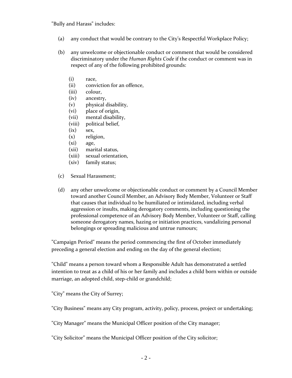"Bully and Harass" includes:

- (a) any conduct that would be contrary to the City's Respectful Workplace Policy;
- (b) any unwelcome or objectionable conduct or comment that would be considered discriminatory under the *Human Rights Code* if the conduct or comment was in respect of any of the following prohibited grounds:
	- (i) race,
	- (ii) conviction for an offence,
	- (iii) colour,
	- (iv) ancestry,
	- (v) physical disability,
	- (vi) place of origin,
	- (vii) mental disability,
	- (viii) political belief,
	- (ix) sex,
	- (x) religion,
	- (xi) age,
	- (xii) marital status,
	- (xiii) sexual orientation,
	- (xiv) family status;
- (c) Sexual Harassment;
- (d) any other unwelcome or objectionable conduct or comment by a Council Member toward another Council Member, an Advisory Body Member, Volunteer or Staff that causes that individual to be humiliated or intimidated, including verbal aggression or insults, making derogatory comments, including questioning the professional competence of an Advisory Body Member, Volunteer or Staff, calling someone derogatory names, hazing or initiation practices, vandalizing personal belongings or spreading malicious and untrue rumours;

"Campaign Period" means the period commencing the first of October immediately preceding a general election and ending on the day of the general election;

"Child" means a person toward whom a Responsible Adult has demonstrated a settled intention to treat as a child of his or her family and includes a child born within or outside marriage, an adopted child, step-child or grandchild;

"City" means the City of Surrey;

"City Business" means any City program, activity, policy, process, project or undertaking;

"City Manager" means the Municipal Officer position of the City manager;

"City Solicitor" means the Municipal Officer position of the City solicitor;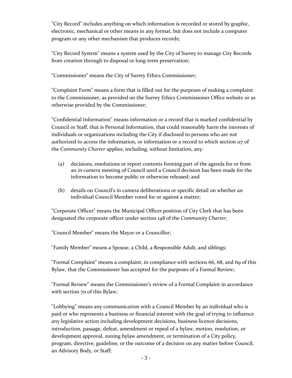"City Record" includes anything on which information is recorded or stored by graphic, electronic, mechanical or other means in any format, but does not include a computer program or any other mechanism that produces records;

"City Record System" means a system used by the City of Surrey to manage City Records from creation through to disposal or long-term preservation;

"Commissioner" means the City of Surrey Ethics Commissioner;

"Complaint Form" means a form that is filled out for the purposes of making a complaint to the Commissioner, as provided on the Surrey Ethics Commissioner Office website or as otherwise provided by the Commissioner;

"Confidential Information" means information or a record that is marked confidential by Council or Staff, that is Personal Information, that could reasonably harm the interests of individuals or organizations including the City if disclosed to persons who are not authorized to access the information, or information or a record to which section 117 of the *Community Charter* applies, including, without limitation, any:

- (a) decisions, resolutions or report contents forming part of the agenda for or from an *in-camera* meeting of Council until a Council decision has been made for the information to become public or otherwise released; and
- (b) details on Council's in camera deliberations or specific detail on whether an individual Council Member voted for or against a matter;

"Corporate Officer" means the Municipal Officer position of City Clerk that has been designated the corporate officer under section 148 of the *Community Charter*;

"Council Member" means the Mayor or a Councillor;

"Family Member" means a Spouse, a Child, a Responsible Adult, and siblings;

"Formal Complaint" means a complaint, in compliance with sections 66, 68, and 69 of this Bylaw, that the Commissioner has accepted for the purposes of a Formal Review;

"Formal Review" means the Commissioner's review of a Formal Complaint in accordance with section 70 of this Bylaw;

"Lobbying" means any communication with a Council Member by an individual who is paid or who represents a business or financial interest with the goal of trying to influence any legislative action including development decisions, business licence decisions, introduction, passage, defeat, amendment or repeal of a bylaw, motion, resolution, or development approval, zoning bylaw amendment, or termination of a City policy, program, directive, guideline, or the outcome of a decision on any matter before Council, an Advisory Body, or Staff;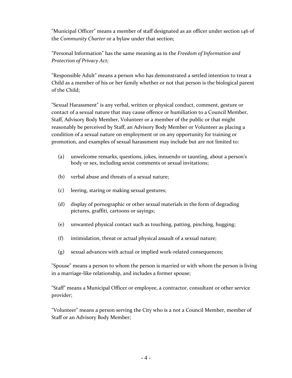"Municipal Officer" means a member of staff designated as an officer under section 146 of the *Community Charter* or a bylaw under that section;

"Personal Information" has the same meaning as in the *Freedom of Information and Protection of Privacy Act;*

"Responsible Adult" means a person who has demonstrated a settled intention to treat a Child as a member of his or her family whether or not that person is the biological parent of the Child;

"Sexual Harassment" is any verbal, written or physical conduct, comment, gesture or contact of a sexual nature that may cause offence or humiliation to a Council Member, Staff, Advisory Body Member, Volunteer or a member of the public or that might reasonably be perceived by Staff, an Advisory Body Member or Volunteer as placing a condition of a sexual nature on employment or on any opportunity for training or promotion, and examples of sexual harassment may include but are not limited to:

- (a) unwelcome remarks, questions, jokes, innuendo or taunting, about a person's body or sex, including sexist comments or sexual invitations;
- (b) verbal abuse and threats of a sexual nature;
- (c) leering, staring or making sexual gestures;
- (d) display of pornographic or other sexual materials in the form of degrading pictures, graffiti, cartoons or sayings;
- (e) unwanted physical contact such as touching, patting, pinching, hugging;
- (f) intimidation, threat or actual physical assault of a sexual nature;
- (g) sexual advances with actual or implied work-related consequences;

"Spouse" means a person to whom the person is married or with whom the person is living in a marriage-like relationship, and includes a former spouse;

"Staff" means a Municipal Officer or employee, a contractor, consultant or other service provider;

"Volunteer" means a person serving the City who is a not a Council Member, member of Staff or an Advisory Body Member;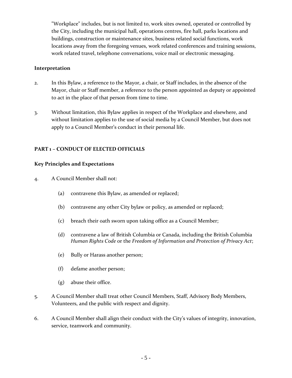"Workplace" includes, but is not limited to, work sites owned, operated or controlled by the City, including the municipal hall, operations centres, fire hall, parks locations and buildings, construction or maintenance sites, business related social functions, work locations away from the foregoing venues, work related conferences and training sessions, work related travel, telephone conversations, voice mail or electronic messaging.

#### <span id="page-6-0"></span>**Interpretation**

- 2. In this Bylaw, a reference to the Mayor, a chair, or Staff includes, in the absence of the Mayor, chair or Staff member, a reference to the person appointed as deputy or appointed to act in the place of that person from time to time.
- 3. Without limitation, this Bylaw applies in respect of the Workplace and elsewhere, and without limitation applies to the use of social media by a Council Member, but does not apply to a Council Member's conduct in their personal life.

# <span id="page-6-1"></span>**PART 1 – CONDUCT OF ELECTED OFFICIALS**

#### <span id="page-6-2"></span>**Key Principles and Expectations**

- 4. A Council Member shall not:
	- (a) contravene this Bylaw, as amended or replaced;
	- (b) contravene any other City bylaw or policy, as amended or replaced;
	- (c) breach their oath sworn upon taking office as a Council Member;
	- (d) contravene a law of British Columbia or Canada, including the British Columbia *Human Rights Code* or the *Freedom of Information and Protection of Privacy Act*;
	- (e) Bully or Harass another person;
	- (f) defame another person;
	- (g) abuse their office.
- 5. A Council Member shall treat other Council Members, Staff, Advisory Body Members, Volunteers, and the public with respect and dignity.
- 6. A Council Member shall align their conduct with the City's values of integrity, innovation, service, teamwork and community.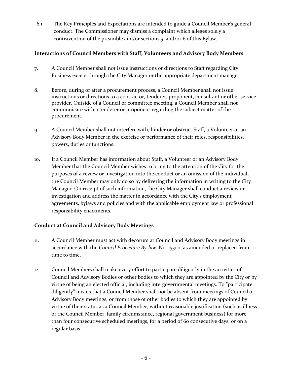6.1. The Key Principles and Expectations are intended to guide a Council Member's general conduct. The Commissioner may dismiss a complaint which alleges solely a contravention of the preamble and/or sections 5, and/or 6 of this Bylaw.

# <span id="page-7-0"></span>**Interactions of Council Members with Staff, Volunteers and Advisory Body Members**

- 7. A Council Member shall not issue instructions or directions to Staff regarding City Business except through the City Manager or the appropriate department manager.
- 8. Before, during or after a procurement process, a Council Member shall not issue instructions or directions to a contractor, tenderer, proponent, consultant or other service provider. Outside of a Council or committee meeting, a Council Member shall not communicate with a tenderer or proponent regarding the subject matter of the procurement.
- 9. A Council Member shall not interfere with, hinder or obstruct Staff, a Volunteer or an Advisory Body Member in the exercise or performance of their roles, responsibilities, powers, duties or functions.
- 10. If a Council Member has information about Staff, a Volunteer or an Advisory Body Member that the Council Member wishes to bring to the attention of the City for the purposes of a review or investigation into the conduct or an omission of the individual, the Council Member may only do so by delivering the information in writing to the City Manager. On receipt of such information, the City Manager shall conduct a review or investigation and address the matter in accordance with the City's employment agreements, bylaws and policies and with the applicable employment law or professional responsibility enactments.

# <span id="page-7-1"></span>**Conduct at Council and Advisory Body Meetings**

- 11. A Council Member must act with decorum at Council and Advisory Body meetings in accordance with the *Council Procedure By-law*, No. 15300, as amended or replaced from time to time.
- 12. Council Members shall make every effort to participate diligently in the activities of Council and Advisory Bodies or other bodies to which they are appointed by the City or by virtue of being an elected official, including intergovernmental meetings. To "participate diligently" means that a Council Member shall not be absent from meetings of Council or Advisory Body meetings, or from those of other bodies to which they are appointed by virtue of their status as a Council Member, without reasonable justification (such as illness of the Council Member, family circumstance, regional government business) for more than four consecutive scheduled meetings, for a period of 60 consecutive days, or on a regular basis.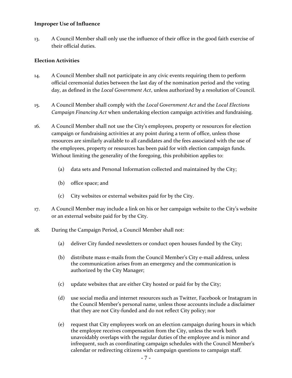#### <span id="page-8-0"></span>**Improper Use of Influence**

13. A Council Member shall only use the influence of their office in the good faith exercise of their official duties.

#### <span id="page-8-1"></span>**Election Activities**

- 14. A Council Member shall not participate in any civic events requiring them to perform official ceremonial duties between the last day of the nomination period and the voting day, as defined in the *Local Government Act*, unless authorized by a resolution of Council.
- 15. A Council Member shall comply with the *Local Government Act* and the *Local Elections Campaign Financing Act* when undertaking election campaign activities and fundraising.
- 16. A Council Member shall not use the City's employees, property or resources for election campaign or fundraising activities at any point during a term of office, unless those resources are similarly available to all candidates and the fees associated with the use of the employees, property or resources has been paid for with election campaign funds. Without limiting the generality of the foregoing, this prohibition applies to:
	- (a) data sets and Personal Information collected and maintained by the City;
	- (b) office space; and
	- (c) City websites or external websites paid for by the City.
- 17. A Council Member may include a link on his or her campaign website to the City's website or an external website paid for by the City.
- 18. During the Campaign Period, a Council Member shall not:
	- (a) deliver City funded newsletters or conduct open houses funded by the City;
	- (b) distribute mass e-mails from the Council Member's City e-mail address, unless the communication arises from an emergency and the communication is authorized by the City Manager;
	- (c) update websites that are either City hosted or paid for by the City;
	- (d) use social media and internet resources such as Twitter, Facebook or Instagram in the Council Member's personal name, unless those accounts include a disclaimer that they are not City-funded and do not reflect City policy; nor
	- (e) request that City employees work on an election campaign during hours in which the employee receives compensation from the City, unless the work both unavoidably overlaps with the regular duties of the employee and is minor and infrequent, such as coordinating campaign schedules with the Council Member's calendar or redirecting citizens with campaign questions to campaign staff.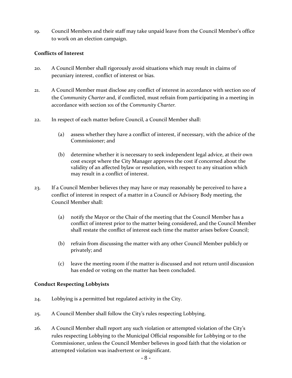19. Council Members and their staff may take unpaid leave from the Council Member's office to work on an election campaign.

#### <span id="page-9-0"></span>**Conflicts of Interest**

- 20. A Council Member shall rigorously avoid situations which may result in claims of pecuniary interest, conflict of interest or bias.
- 21. A Council Member must disclose any conflict of interest in accordance with section 100 of the *Community Charter* and, if conflicted, must refrain from participating in a meeting in accordance with section 101 of the *Community Charter.*
- 22. In respect of each matter before Council, a Council Member shall:
	- (a) assess whether they have a conflict of interest, if necessary, with the advice of the Commissioner; and
	- (b) determine whether it is necessary to seek independent legal advice, at their own cost except where the City Manager approves the cost if concerned about the validity of an affected bylaw or resolution, with respect to any situation which may result in a conflict of interest.
- 23. If a Council Member believes they may have or may reasonably be perceived to have a conflict of interest in respect of a matter in a Council or Advisory Body meeting, the Council Member shall:
	- (a) notify the Mayor or the Chair of the meeting that the Council Member has a conflict of interest prior to the matter being considered, and the Council Member shall restate the conflict of interest each time the matter arises before Council;
	- (b) refrain from discussing the matter with any other Council Member publicly or privately; and
	- (c) leave the meeting room if the matter is discussed and not return until discussion has ended or voting on the matter has been concluded.

# <span id="page-9-1"></span>**Conduct Respecting Lobbyists**

- 24. Lobbying is a permitted but regulated activity in the City.
- 25. A Council Member shall follow the City's rules respecting Lobbying.
- 26. A Council Member shall report any such violation or attempted violation of the City's rules respecting Lobbying to the Municipal Official responsible for Lobbying or to the Commissioner, unless the Council Member believes in good faith that the violation or attempted violation was inadvertent or insignificant.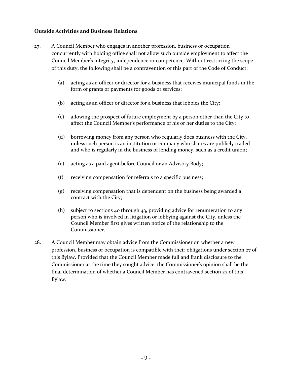#### <span id="page-10-0"></span>**Outside Activities and Business Relations**

- 27. A Council Member who engages in another profession, business or occupation concurrently with holding office shall not allow such outside employment to affect the Council Member's integrity, independence or competence. Without restricting the scope of this duty, the following shall be a contravention of this part of the Code of Conduct:
	- (a) acting as an officer or director for a business that receives municipal funds in the form of grants or payments for goods or services;
	- (b) acting as an officer or director for a business that lobbies the City;
	- (c) allowing the prospect of future employment by a person other than the City to affect the Council Member's performance of his or her duties to the City;
	- (d) borrowing money from any person who regularly does business with the City, unless such person is an institution or company who shares are publicly traded and who is regularly in the business of lending money, such as a credit union;
	- (e) acting as a paid agent before Council or an Advisory Body;
	- (f) receiving compensation for referrals to a specific business;
	- (g) receiving compensation that is dependent on the business being awarded a contract with the City;
	- (h) subject to sections 40 through 43, providing advice for renumeration to any person who is involved in litigation or lobbying against the City, unless the Council Member first gives written notice of the relationship to the Commissioner.
- 28. A Council Member may obtain advice from the Commissioner on whether a new profession, business or occupation is compatible with their obligations under section 27 of this Bylaw. Provided that the Council Member made full and frank disclosure to the Commissioner at the time they sought advice, the Commissioner's opinion shall be the final determination of whether a Council Member has contravened section 27 of this Bylaw.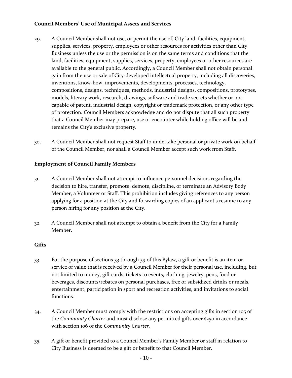# <span id="page-11-0"></span>**Council Members' Use of Municipal Assets and Services**

- 29. A Council Member shall not use, or permit the use of, City land, facilities, equipment, supplies, services, property, employees or other resources for activities other than City Business unless the use or the permission is on the same terms and conditions that the land, facilities, equipment, supplies, services, property, employees or other resources are available to the general public. Accordingly, a Council Member shall not obtain personal gain from the use or sale of City-developed intellectual property, including all discoveries, inventions, know-how, improvements, developments, processes, technology, compositions, designs, techniques, methods, industrial designs, compositions, prototypes, models, literary work, research, drawings, software and trade secrets whether or not capable of patent, industrial design, copyright or trademark protection, or any other type of protection. Council Members acknowledge and do not dispute that all such property that a Council Member may prepare, use or encounter while holding office will be and remains the City's exclusive property.
- 30. A Council Member shall not request Staff to undertake personal or private work on behalf of the Council Member, nor shall a Council Member accept such work from Staff.

# <span id="page-11-1"></span>**Employment of Council Family Members**

- 31. A Council Member shall not attempt to influence personnel decisions regarding the decision to hire, transfer, promote, demote, discipline, or terminate an Advisory Body Member, a Volunteer or Staff. This prohibition includes giving references to any person applying for a position at the City and forwarding copies of an applicant's resume to any person hiring for any position at the City.
- 32. A Council Member shall not attempt to obtain a benefit from the City for a Family Member.

#### <span id="page-11-2"></span>**Gifts**

- 33. For the purpose of sections 33 through 39 of this Bylaw, a gift or benefit is an item or service of value that is received by a Council Member for their personal use, including, but not limited to money, gift cards, tickets to events, clothing, jewelry, pens, food or beverages, discounts/rebates on personal purchases, free or subsidized drinks or meals, entertainment, participation in sport and recreation activities, and invitations to social functions.
- 34. A Council Member must comply with the restrictions on accepting gifts in section 105 of the *Community Charter* and must disclose any permitted gifts over \$250 in accordance with section 106 of the *Community Charter.*
- 35. A gift or benefit provided to a Council Member's Family Member or staff in relation to City Business is deemed to be a gift or benefit to that Council Member.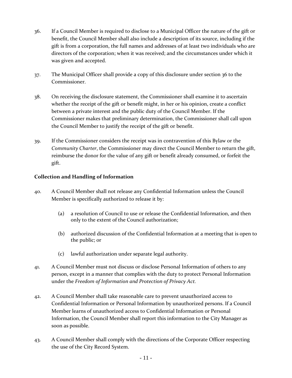- 36. If a Council Member is required to disclose to a Municipal Officer the nature of the gift or benefit, the Council Member shall also include a description of its source, including if the gift is from a corporation, the full names and addresses of at least two individuals who are directors of the corporation; when it was received; and the circumstances under which it was given and accepted.
- 37. The Municipal Officer shall provide a copy of this disclosure under section 36 to the Commissioner.
- 38. On receiving the disclosure statement, the Commissioner shall examine it to ascertain whether the receipt of the gift or benefit might, in her or his opinion, create a conflict between a private interest and the public duty of the Council Member. If the Commissioner makes that preliminary determination, the Commissioner shall call upon the Council Member to justify the receipt of the gift or benefit.
- 39. If the Commissioner considers the receipt was in contravention of this Bylaw or the *Community Charter*, the Commissioner may direct the Council Member to return the gift, reimburse the donor for the value of any gift or benefit already consumed, or forfeit the gift.

# <span id="page-12-0"></span>**Collection and Handling of Information**

- 40. A Council Member shall not release any Confidential Information unless the Council Member is specifically authorized to release it by:
	- (a) a resolution of Council to use or release the Confidential Information, and then only to the extent of the Council authorization;
	- (b) authorized discussion of the Confidential Information at a meeting that is open to the public; or
	- (c) lawful authorization under separate legal authority.
- 41. A Council Member must not discuss or disclose Personal Information of others to any person, except in a manner that complies with the duty to protect Personal Information under the *Freedom of Information and Protection of Privacy Act.*
- 42. A Council Member shall take reasonable care to prevent unauthorized access to Confidential Information or Personal Information by unauthorized persons. If a Council Member learns of unauthorized access to Confidential Information or Personal Information, the Council Member shall report this information to the City Manager as soon as possible.
- 43. A Council Member shall comply with the directions of the Corporate Officer respecting the use of the City Record System.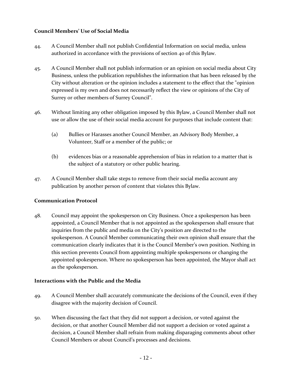# <span id="page-13-0"></span>**Council Members' Use of Social Media**

- 44. A Council Member shall not publish Confidential Information on social media, unless authorized in accordance with the provisions of section 40 of this Bylaw.
- 45. A Council Member shall not publish information or an opinion on social media about City Business, unless the publication republishes the information that has been released by the City without alteration or the opinion includes a statement to the effect that the "opinion expressed is my own and does not necessarily reflect the view or opinions of the City of Surrey or other members of Surrey Council".
- 46. Without limiting any other obligation imposed by this Bylaw, a Council Member shall not use or allow the use of their social media account for purposes that include content that:
	- (a) Bullies or Harasses another Council Member, an Advisory Body Member, a Volunteer, Staff or a member of the public; or
	- (b) evidences bias or a reasonable apprehension of bias in relation to a matter that is the subject of a statutory or other public hearing.
- 47. A Council Member shall take steps to remove from their social media account any publication by another person of content that violates this Bylaw.

# <span id="page-13-1"></span>**Communication Protocol**

48. Council may appoint the spokesperson on City Business. Once a spokesperson has been appointed, a Council Member that is not appointed as the spokesperson shall ensure that inquiries from the public and media on the City's position are directed to the spokesperson. A Council Member communicating their own opinion shall ensure that the communication clearly indicates that it is the Council Member's own position. Nothing in this section prevents Council from appointing multiple spokespersons or changing the appointed spokesperson. Where no spokesperson has been appointed, the Mayor shall act as the spokesperson.

# <span id="page-13-2"></span>**Interactions with the Public and the Media**

- 49. A Council Member shall accurately communicate the decisions of the Council, even if they disagree with the majority decision of Council.
- 50. When discussing the fact that they did not support a decision, or voted against the decision, or that another Council Member did not support a decision or voted against a decision, a Council Member shall refrain from making disparaging comments about other Council Members or about Council's processes and decisions.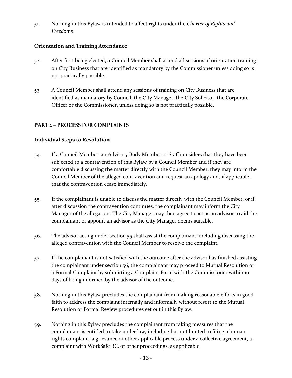51. Nothing in this Bylaw is intended to affect rights under the *Charter of Rights and Freedoms*.

# <span id="page-14-0"></span>**Orientation and Training Attendance**

- 52. After first being elected, a Council Member shall attend all sessions of orientation training on City Business that are identified as mandatory by the Commissioner unless doing so is not practically possible.
- 53. A Council Member shall attend any sessions of training on City Business that are identified as mandatory by Council, the City Manager, the City Solicitor, the Corporate Officer or the Commissioner, unless doing so is not practically possible.

# <span id="page-14-1"></span>**PART 2 – PROCESS FOR COMPLAINTS**

# <span id="page-14-2"></span>**Individual Steps to Resolution**

- 54. If a Council Member, an Advisory Body Member or Staff considers that they have been subjected to a contravention of this Bylaw by a Council Member and if they are comfortable discussing the matter directly with the Council Member, they may inform the Council Member of the alleged contravention and request an apology and, if applicable, that the contravention cease immediately.
- 55. If the complainant is unable to discuss the matter directly with the Council Member, or if after discussion the contravention continues, the complainant may inform the City Manager of the allegation. The City Manager may then agree to act as an advisor to aid the complainant or appoint an advisor as the City Manager deems suitable.
- 56. The advisor acting under section 55 shall assist the complainant, including discussing the alleged contravention with the Council Member to resolve the complaint.
- 57. If the complainant is not satisfied with the outcome after the advisor has finished assisting the complainant under section 56, the complainant may proceed to Mutual Resolution or a Formal Complaint by submitting a Complaint Form with the Commissioner within 10 days of being informed by the advisor of the outcome.
- 58. Nothing in this Bylaw precludes the complainant from making reasonable efforts in good faith to address the complaint internally and informally without resort to the Mutual Resolution or Formal Review procedures set out in this Bylaw.
- 59. Nothing in this Bylaw precludes the complainant from taking measures that the complainant is entitled to take under law, including but not limited to filing a human rights complaint, a grievance or other applicable process under a collective agreement, a complaint with WorkSafe BC, or other proceedings, as applicable.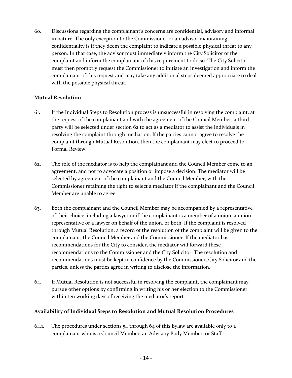60. Discussions regarding the complainant's concerns are confidential, advisory and informal in nature. The only exception to the Commissioner or an advisor maintaining confidentiality is if they deem the complaint to indicate a possible physical threat to any person. In that case, the advisor must immediately inform the City Solicitor of the complaint and inform the complainant of this requirement to do so. The City Solicitor must then promptly request the Commissioner to initiate an investigation and inform the complainant of this request and may take any additional steps deemed appropriate to deal with the possible physical threat.

#### <span id="page-15-0"></span>**Mutual Resolution**

- 61. If the Individual Steps to Resolution process is unsuccessful in resolving the complaint, at the request of the complainant and with the agreement of the Council Member, a third party will be selected under section 62 to act as a mediator to assist the individuals in resolving the complaint through mediation. If the parties cannot agree to resolve the complaint through Mutual Resolution, then the complainant may elect to proceed to Formal Review.
- 62. The role of the mediator is to help the complainant and the Council Member come to an agreement, and not to advocate a position or impose a decision. The mediator will be selected by agreement of the complainant and the Council Member, with the Commissioner retaining the right to select a mediator if the complainant and the Council Member are unable to agree.
- 63. Both the complainant and the Council Member may be accompanied by a representative of their choice, including a lawyer or if the complainant is a member of a union, a union representative or a lawyer on behalf of the union, or both. If the complaint is resolved through Mutual Resolution, a record of the resolution of the complaint will be given to the complainant, the Council Member and the Commissioner. If the mediator has recommendations for the City to consider, the mediator will forward these recommendations to the Commissioner and the City Solicitor. The resolution and recommendations must be kept in confidence by the Commissioner, City Solicitor and the parties, unless the parties agree in writing to disclose the information.
- 64. If Mutual Resolution is not successful in resolving the complaint, the complainant may pursue other options by confirming in writing his or her election to the Commissioner within ten working days of receiving the mediator's report.

# <span id="page-15-1"></span>**Availability of Individual Steps to Resolution and Mutual Resolution Procedures**

64.1. The procedures under sections 54 through 64 of this Bylaw are available only to a complainant who is a Council Member, an Advisory Body Member, or Staff.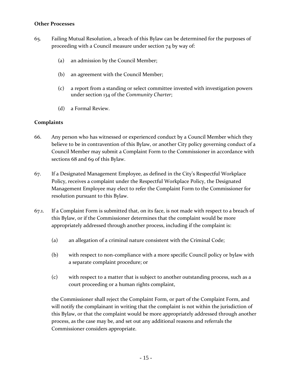#### <span id="page-16-0"></span>**Other Processes**

- 65. Failing Mutual Resolution, a breach of this Bylaw can be determined for the purposes of proceeding with a Council measure under section 74 by way of:
	- (a) an admission by the Council Member;
	- (b) an agreement with the Council Member;
	- (c) a report from a standing or select committee invested with investigation powers under section 134 of the *Community Charter*;
	- (d) a Formal Review.

#### <span id="page-16-1"></span>**Complaints**

- 66. Any person who has witnessed or experienced conduct by a Council Member which they believe to be in contravention of this Bylaw, or another City policy governing conduct of a Council Member may submit a Complaint Form to the Commissioner in accordance with sections 68 and 69 of this Bylaw.
- 67. If a Designated Management Employee, as defined in the City's Respectful Workplace Policy, receives a complaint under the Respectful Workplace Policy, the Designated Management Employee may elect to refer the Complaint Form to the Commissioner for resolution pursuant to this Bylaw.
- 67.1. If a Complaint Form is submitted that, on its face, is not made with respect to a breach of this Bylaw, or if the Commissioner determines that the complaint would be more appropriately addressed through another process, including if the complaint is:
	- (a) an allegation of a criminal nature consistent with the Criminal Code;
	- (b) with respect to non-compliance with a more specific Council policy or bylaw with a separate complaint procedure; or
	- (c) with respect to a matter that is subject to another outstanding process, such as a court proceeding or a human rights complaint,

the Commissioner shall reject the Complaint Form, or part of the Complaint Form, and will notify the complainant in writing that the complaint is not within the jurisdiction of this Bylaw, or that the complaint would be more appropriately addressed through another process, as the case may be, and set out any additional reasons and referrals the Commissioner considers appropriate.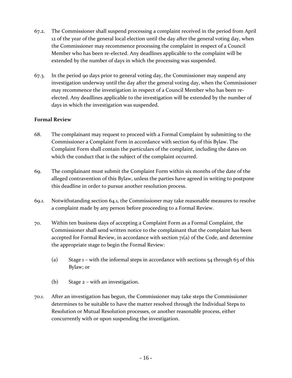- 67.2. The Commissioner shall suspend processing a complaint received in the period from April 12 of the year of the general local election until the day after the general voting day, when the Commissioner may recommence processing the complaint in respect of a Council Member who has been re-elected. Any deadlines applicable to the complaint will be extended by the number of days in which the processing was suspended.
- 67.3. In the period 90 days prior to general voting day, the Commissioner may suspend any investigation underway until the day after the general voting day, when the Commissioner may recommence the investigation in respect of a Council Member who has been reelected. Any deadlines applicable to the investigation will be extended by the number of days in which the investigation was suspended.

# <span id="page-17-0"></span>**Formal Review**

- 68. The complainant may request to proceed with a Formal Complaint by submitting to the Commissioner a Complaint Form in accordance with section 69 of this Bylaw. The Complaint Form shall contain the particulars of the complaint, including the dates on which the conduct that is the subject of the complaint occurred.
- 69. The complainant must submit the Complaint Form within six months of the date of the alleged contravention of this Bylaw, unless the parties have agreed in writing to postpone this deadline in order to pursue another resolution process.
- 69.1. Notwithstanding section 64.1, the Commissioner may take reasonable measures to resolve a complaint made by any person before proceeding to a Formal Review.
- 70. Within ten business days of accepting a Complaint Form as a Formal Complaint, the Commissioner shall send written notice to the complainant that the complaint has been accepted for Formal Review, in accordance with section  $7<sub>1</sub>(a)$  of the Code, and determine the appropriate stage to begin the Formal Review:
	- (a) Stage  $1$  with the informal steps in accordance with sections  $54$  through 63 of this Bylaw; or
	- (b) Stage 2 with an investigation.
- 70.1. After an investigation has begun, the Commissioner may take steps the Commissioner determines to be suitable to have the matter resolved through the Individual Steps to Resolution or Mutual Resolution processes, or another reasonable process, either concurrently with or upon suspending the investigation.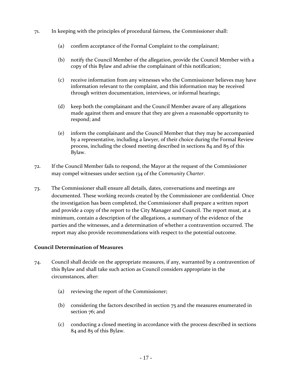- 71. In keeping with the principles of procedural fairness, the Commissioner shall:
	- (a) confirm acceptance of the Formal Complaint to the complainant;
	- (b) notify the Council Member of the allegation, provide the Council Member with a copy of this Bylaw and advise the complainant of this notification;
	- (c) receive information from any witnesses who the Commissioner believes may have information relevant to the complaint, and this information may be received through written documentation, interviews, or informal hearings;
	- (d) keep both the complainant and the Council Member aware of any allegations made against them and ensure that they are given a reasonable opportunity to respond; and
	- (e) inform the complainant and the Council Member that they may be accompanied by a representative, including a lawyer, of their choice during the Formal Review process, including the closed meeting described in sections 84 and 85 of this Bylaw.
- 72. If the Council Member fails to respond, the Mayor at the request of the Commissioner may compel witnesses under section 134 of the *Community Charter*.
- 73. The Commissioner shall ensure all details, dates, conversations and meetings are documented. These working records created by the Commissioner are confidential*.* Once the investigation has been completed, the Commissioner shall prepare a written report and provide a copy of the report to the City Manager and Council. The report must, at a minimum, contain a description of the allegations, a summary of the evidence of the parties and the witnesses, and a determination of whether a contravention occurred. The report may also provide recommendations with respect to the potential outcome.

# <span id="page-18-0"></span>**Council Determination of Measures**

- 74. Council shall decide on the appropriate measures, if any, warranted by a contravention of this Bylaw and shall take such action as Council considers appropriate in the circumstances, after:
	- (a) reviewing the report of the Commissioner;
	- (b) considering the factors described in section 75 and the measures enumerated in section 76; and
	- (c) conducting a closed meeting in accordance with the process described in sections 84 and 85 of this Bylaw.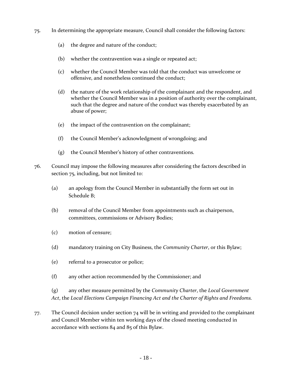- 75. In determining the appropriate measure, Council shall consider the following factors:
	- (a) the degree and nature of the conduct;
	- (b) whether the contravention was a single or repeated act;
	- (c) whether the Council Member was told that the conduct was unwelcome or offensive, and nonetheless continued the conduct;
	- (d) the nature of the work relationship of the complainant and the respondent, and whether the Council Member was in a position of authority over the complainant, such that the degree and nature of the conduct was thereby exacerbated by an abuse of power;
	- (e) the impact of the contravention on the complainant;
	- (f) the Council Member's acknowledgment of wrongdoing; and
	- (g) the Council Member's history of other contraventions.
- 76. Council may impose the following measures after considering the factors described in section 75, including, but not limited to:
	- (a) an apology from the Council Member in substantially the form set out in Schedule B;
	- (b) removal of the Council Member from appointments such as chairperson, committees, commissions or Advisory Bodies;
	- (c) motion of censure;
	- (d) mandatory training on City Business, the *Community Charter*, or this Bylaw;
	- (e) referral to a prosecutor or police;
	- (f) any other action recommended by the Commissioner; and

(g) any other measure permitted by the *Community Charter*, the *Local Government Act*, the *Local Elections Campaign Financing Act and the Charter of Rights and Freedoms.*

77. The Council decision under section 74 will be in writing and provided to the complainant and Council Member within ten working days of the closed meeting conducted in accordance with sections 84 and 85 of this Bylaw.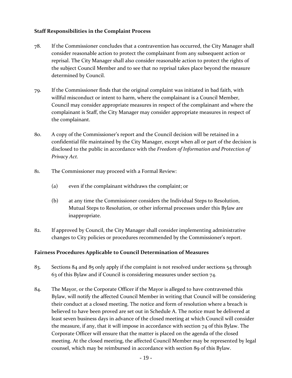#### <span id="page-20-0"></span>**Staff Responsibilities in the Complaint Process**

- 78. If the Commissioner concludes that a contravention has occurred, the City Manager shall consider reasonable action to protect the complainant from any subsequent action or reprisal. The City Manager shall also consider reasonable action to protect the rights of the subject Council Member and to see that no reprisal takes place beyond the measure determined by Council.
- 79. If the Commissioner finds that the original complaint was initiated in bad faith, with willful misconduct or intent to harm, where the complainant is a Council Member, Council may consider appropriate measures in respect of the complainant and where the complainant is Staff, the City Manager may consider appropriate measures in respect of the complainant.
- 80. A copy of the Commissioner's report and the Council decision will be retained in a confidential file maintained by the City Manager, except when all or part of the decision is disclosed to the public in accordance with the *Freedom of Information and Protection of Privacy Act.*
- 81. The Commissioner may proceed with a Formal Review:
	- (a) even if the complainant withdraws the complaint; or
	- (b) at any time the Commissioner considers the Individual Steps to Resolution, Mutual Steps to Resolution, or other informal processes under this Bylaw are inappropriate.
- 82. If approved by Council, the City Manager shall consider implementing administrative changes to City policies or procedures recommended by the Commissioner's report.

# <span id="page-20-1"></span>**Fairness Procedures Applicable to Council Determination of Measures**

- 83. Sections 84 and 85 only apply if the complaint is not resolved under sections  $54$  through 63 of this Bylaw and if Council is considering measures under section 74.
- 84. The Mayor, or the Corporate Officer if the Mayor is alleged to have contravened this Bylaw, will notify the affected Council Member in writing that Council will be considering their conduct at a closed meeting. The notice and form of resolution where a breach is believed to have been proved are set out in Schedule A. The notice must be delivered at least seven business days in advance of the closed meeting at which Council will consider the measure, if any, that it will impose in accordance with section 74 of this Bylaw. The Corporate Officer will ensure that the matter is placed on the agenda of the closed meeting. At the closed meeting, the affected Council Member may be represented by legal counsel, which may be reimbursed in accordance with section 89 of this Bylaw.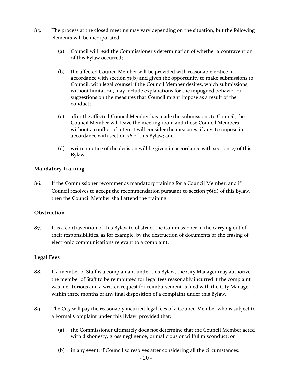- 85. The process at the closed meeting may vary depending on the situation, but the following elements will be incorporated:
	- (a) Council will read the Commissioner's determination of whether a contravention of this Bylaw occurred;
	- (b) the affected Council Member will be provided with reasonable notice in accordance with section  $7(16)$  and given the opportunity to make submissions to Council, with legal counsel if the Council Member desires, which submissions, without limitation, may include explanations for the impugned behavior or suggestions on the measures that Council might impose as a result of the conduct;
	- (c) after the affected Council Member has made the submissions to Council, the Council Member will leave the meeting room and those Council Members without a conflict of interest will consider the measures, if any, to impose in accordance with section 76 of this Bylaw; and
	- (d) written notice of the decision will be given in accordance with section 77 of this Bylaw.

#### <span id="page-21-0"></span>**Mandatory Training**

86. If the Commissioner recommends mandatory training for a Council Member, and if Council resolves to accept the recommendation pursuant to section 76(d) of this Bylaw, then the Council Member shall attend the training.

#### <span id="page-21-1"></span>**Obstruction**

87. It is a contravention of this Bylaw to obstruct the Commissioner in the carrying out of their responsibilities, as for example, by the destruction of documents or the erasing of electronic communications relevant to a complaint.

# <span id="page-21-2"></span>**Legal Fees**

- 88. If a member of Staff is a complainant under this Bylaw, the City Manager may authorize the member of Staff to be reimbursed for legal fees reasonably incurred if the complaint was meritorious and a written request for reimbursement is filed with the City Manager within three months of any final disposition of a complaint under this Bylaw.
- 89. The City will pay the reasonably incurred legal fees of a Council Member who is subject to a Formal Complaint under this Bylaw, provided that:
	- (a) the Commissioner ultimately does not determine that the Council Member acted with dishonesty, gross negligence, or malicious or willful misconduct; or
	- (b) in any event, if Council so resolves after considering all the circumstances.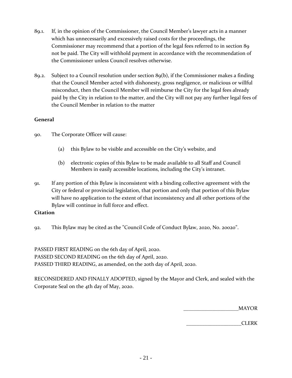- 89.1. If, in the opinion of the Commissioner, the Council Member's lawyer acts in a manner which has unnecessarily and excessively raised costs for the proceedings, the Commissioner may recommend that a portion of the legal fees referred to in section 89 not be paid. The City will withhold payment in accordance with the recommendation of the Commissioner unless Council resolves otherwise.
- 89.2. Subject to a Council resolution under section 89(b), if the Commissioner makes a finding that the Council Member acted with dishonesty, gross negligence, or malicious or willful misconduct, then the Council Member will reimburse the City for the legal fees already paid by the City in relation to the matter, and the City will not pay any further legal fees of the Council Member in relation to the matter

# <span id="page-22-0"></span>**General**

- 90. The Corporate Officer will cause:
	- (a) this Bylaw to be visible and accessible on the City's website, and
	- (b) electronic copies of this Bylaw to be made available to all Staff and Council Members in easily accessible locations, including the City's intranet.
- 91. If any portion of this Bylaw is inconsistent with a binding collective agreement with the City or federal or provincial legislation, that portion and only that portion of this Bylaw will have no application to the extent of that inconsistency and all other portions of the Bylaw will continue in full force and effect.

# <span id="page-22-1"></span>**Citation**

92. This Bylaw may be cited as the "Council Code of Conduct Bylaw, 2020, No. 20020".

PASSED FIRST READING on the 6th day of April, 2020. PASSED SECOND READING on the 6th day of April, 2020. PASSED THIRD READING, as amended, on the 20th day of April, 2020.

RECONSIDERED AND FINALLY ADOPTED, signed by the Mayor and Clerk, and sealed with the Corporate Seal on the 4th day of May, 2020.

\_\_\_\_\_\_\_\_\_\_\_\_\_\_\_\_\_\_\_\_\_MAYOR

\_\_\_\_\_\_\_\_\_\_\_\_\_\_\_\_\_\_\_\_\_CLERK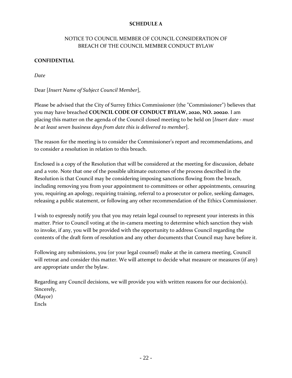# **SCHEDULE A**

# <span id="page-23-0"></span>NOTICE TO COUNCIL MEMBER OF COUNCIL CONSIDERATION OF BREACH OF THE COUNCIL MEMBER CONDUCT BYLAW

# **CONFIDENTIAL**

*Date*

Dear [*Insert Name of Subject Council Member*],

Please be advised that the City of Surrey Ethics Commissioner (the "Commissioner") believes that you may have breached **COUNCIL CODE OF CONDUCT BYLAW, 2020, NO. 20020**. I am placing this matter on the agenda of the Council closed meeting to be held on [*Insert date - must be at least seven business days from date this is delivered to member*].

The reason for the meeting is to consider the Commissioner's report and recommendations, and to consider a resolution in relation to this breach.

Enclosed is a copy of the Resolution that will be considered at the meeting for discussion, debate and a vote. Note that one of the possible ultimate outcomes of the process described in the Resolution is that Council may be considering imposing sanctions flowing from the breach, including removing you from your appointment to committees or other appointments, censuring you, requiring an apology, requiring training, referral to a prosecutor or police, seeking damages, releasing a public statement, or following any other recommendation of the Ethics Commissioner.

I wish to expressly notify you that you may retain legal counsel to represent your interests in this matter. Prior to Council voting at the in-camera meeting to determine which sanction they wish to invoke, if any, you will be provided with the opportunity to address Council regarding the contents of the draft form of resolution and any other documents that Council may have before it.

Following any submissions, you (or your legal counsel) make at the in camera meeting, Council will retreat and consider this matter. We will attempt to decide what measure or measures (if any) are appropriate under the bylaw.

Regarding any Council decisions, we will provide you with written reasons for our decision(s). Sincerely, (Mayor) Encls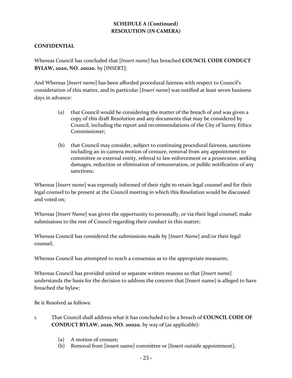# **SCHEDULE A (Continued) RESOLUTION (IN CAMERA)**

# **CONFIDENTIAL**

Whereas Council has concluded that [*Insert name*] has breached **COUNCIL CODE CONDUCT BYLAW, 2020, NO. 20020**. by [INSERT];

And Whereas [*Insert name*] has been afforded procedural fairness with respect to Council's consideration of this matter, and in particular [*Insert name*] was notified at least seven business days in advance:

- (a) that Council would be considering the matter of the breach of and was given a copy of this draft Resolution and any documents that may be considered by Council, including the report and recommendations of the City of Surrey Ethics Commissioner;
- (b) that Council may consider, subject to continuing procedural fairness, sanctions including an in-camera motion of censure, removal from any appointment to committee or external entity, referral to law enforcement or a prosecutor, seeking damages, reduction or elimination of remuneration, or public notification of any sanctions;

Whereas [*Insert name*] was expressly informed of their right to retain legal counsel and for their legal counsel to be present at the Council meeting in which this Resolution would be discussed and voted on;

Whereas [*Insert Name*] was given the opportunity to personally, or via their legal counsel, make submissions to the rest of Council regarding their conduct in this matter;

Whereas Council has considered the submissions made by [*Insert Name*] and/or their legal counsel;

Whereas Council has attempted to reach a consensus as to the appropriate measures;

Whereas Council has provided united or separate written reasons so that [*Insert name*] understands the basis for the decision to address the concern that [Insert name] is alleged to have breached the bylaw;

Be it Resolved as follows:

- 1. That Council shall address what it has concluded to be a breach of **COUNCIL CODE OF CONDUCT BYLAW, 2020, NO. 20020**, by way of (as applicable):
	- (a) A motion of censure;
	- (b) Removal from [insert name] committee or [Insert outside appointment];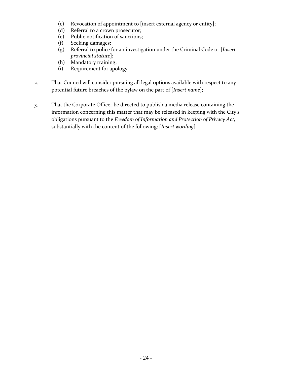- (c) Revocation of appointment to [insert external agency or entity];
- (d) Referral to a crown prosecutor;
- (e) Public notification of sanctions;
- (f) Seeking damages;
- (g) Referral to police for an investigation under the Criminal Code or [*Insert provincial statute*];
- (h) Mandatory training;
- (i) Requirement for apology.
- 2. That Council will consider pursuing all legal options available with respect to any potential future breaches of the bylaw on the part of [*Insert name*];
- 3. That the Corporate Officer be directed to publish a media release containing the information concerning this matter that may be released in keeping with the City's obligations pursuant to the *Freedom of Information and Protection of Privacy Act,*  substantially with the content of the following: [*Insert wording*].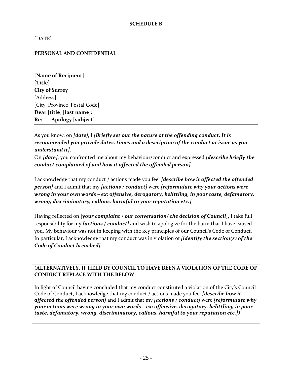#### **SCHEDULE B**

<span id="page-26-0"></span>[DATE]

#### **PERSONAL AND CONFIDENTIAL**

**[Name of Recipient] [Title] City of Surrey** [Address] [City, Province Postal Code] **Dear [title] [last name]: Re: Apology [subject]**

As you know, on *[date]*, I *[Briefly set out the nature of the offending conduct. It is recommended you provide dates, times and a description of the conduct at issue as you understand it]*.

On *[date]*, you confronted me about my behaviour/conduct and expressed *[describe briefly the conduct complained of and how it affected the offended person]*.

I acknowledge that my conduct / actions made you feel *[describe how it affected the offended person]* and I admit that my *[actions / conduct]* were *[reformulate why your actions were wrong in your own words – ex: offensive, derogatory, belittling, in poor taste, defamatory, wrong, discriminatory, callous, harmful to your reputation etc.]*.

Having reflected on **[***your complaint / our conversation/ the decision of Council***]**, I take full responsibility for my *[actions / conduct]* and wish to apologize for the harm that I have caused you. My behaviour was not in keeping with the key principles of our Council's Code of Conduct. In particular, I acknowledge that my conduct was in violation of *[identify the section(s) of the Code of Conduct breached].*

**(ALTERNATIVELY, IF HELD BY COUNCIL TO HAVE BEEN A VIOLATION OF THE CODE OF CONDUCT REPLACE WITH THE BELOW**:

In light of Council having concluded that my conduct constituted a violation of the City's Council Code of Conduct, I acknowledge that my conduct / actions made you feel *[describe how it affected the offended person]* and I admit that my *[actions / conduct]* were *[reformulate why your actions were wrong in your own words – ex: offensive, derogatory, belittling, in poor taste, defamatory, wrong, discriminatory, callous, harmful to your reputation etc.])*